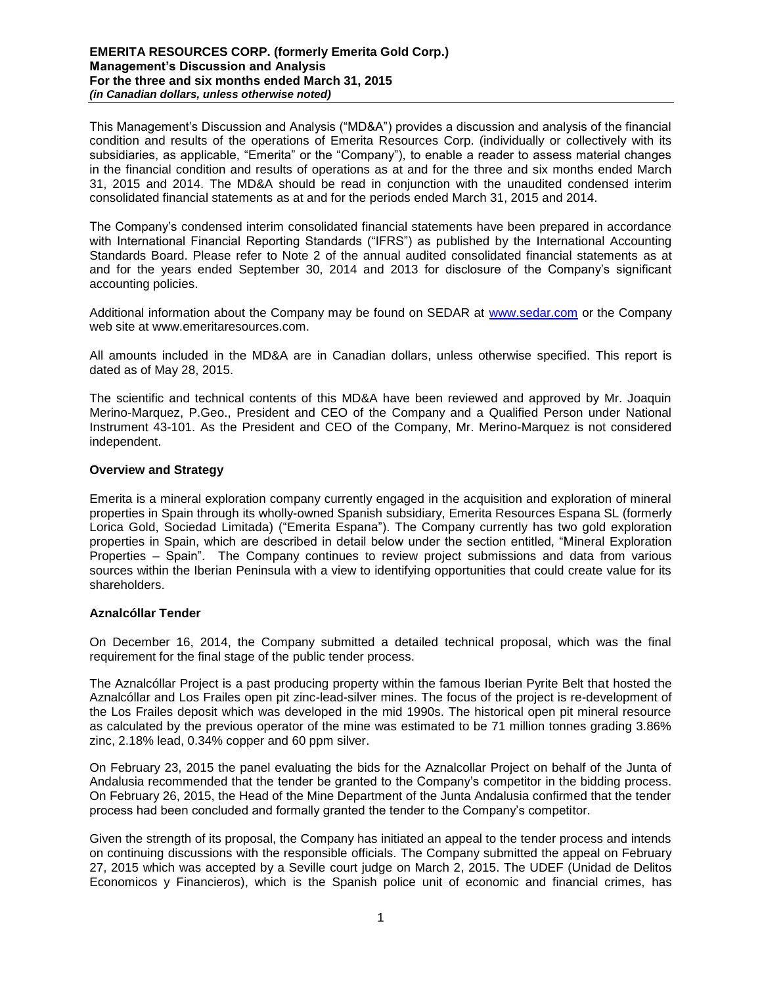### **EMERITA RESOURCES CORP. (formerly Emerita Gold Corp.) Management's Discussion and Analysis For the three and six months ended March 31, 2015** *(in Canadian dollars, unless otherwise noted)*

This Management's Discussion and Analysis ("MD&A") provides a discussion and analysis of the financial condition and results of the operations of Emerita Resources Corp. (individually or collectively with its subsidiaries, as applicable, "Emerita" or the "Company"), to enable a reader to assess material changes in the financial condition and results of operations as at and for the three and six months ended March 31, 2015 and 2014. The MD&A should be read in conjunction with the unaudited condensed interim consolidated financial statements as at and for the periods ended March 31, 2015 and 2014.

The Company's condensed interim consolidated financial statements have been prepared in accordance with International Financial Reporting Standards ("IFRS") as published by the International Accounting Standards Board. Please refer to Note 2 of the annual audited consolidated financial statements as at and for the years ended September 30, 2014 and 2013 for disclosure of the Company's significant accounting policies.

Additional information about the Company may be found on SEDAR at [www.sedar.com](http://www.sedar.com/) or the Company web site at www.emeritaresources.com.

All amounts included in the MD&A are in Canadian dollars, unless otherwise specified. This report is dated as of May 28, 2015.

The scientific and technical contents of this MD&A have been reviewed and approved by Mr. Joaquin Merino-Marquez, P.Geo., President and CEO of the Company and a Qualified Person under National Instrument 43-101. As the President and CEO of the Company, Mr. Merino-Marquez is not considered independent.

# **Overview and Strategy**

Emerita is a mineral exploration company currently engaged in the acquisition and exploration of mineral properties in Spain through its wholly-owned Spanish subsidiary, Emerita Resources Espana SL (formerly Lorica Gold, Sociedad Limitada) ("Emerita Espana"). The Company currently has two gold exploration properties in Spain, which are described in detail below under the section entitled, "Mineral Exploration Properties – Spain". The Company continues to review project submissions and data from various sources within the Iberian Peninsula with a view to identifying opportunities that could create value for its shareholders.

# **Aznalcóllar Tender**

On December 16, 2014, the Company submitted a detailed technical proposal, which was the final requirement for the final stage of the public tender process.

The Aznalcóllar Project is a past producing property within the famous Iberian Pyrite Belt that hosted the Aznalcóllar and Los Frailes open pit zinc-lead-silver mines. The focus of the project is re-development of the Los Frailes deposit which was developed in the mid 1990s. The historical open pit mineral resource as calculated by the previous operator of the mine was estimated to be 71 million tonnes grading 3.86% zinc, 2.18% lead, 0.34% copper and 60 ppm silver.

On February 23, 2015 the panel evaluating the bids for the Aznalcollar Project on behalf of the Junta of Andalusia recommended that the tender be granted to the Company's competitor in the bidding process. On February 26, 2015, the Head of the Mine Department of the Junta Andalusia confirmed that the tender process had been concluded and formally granted the tender to the Company's competitor.

Given the strength of its proposal, the Company has initiated an appeal to the tender process and intends on continuing discussions with the responsible officials. The Company submitted the appeal on February 27, 2015 which was accepted by a Seville court judge on March 2, 2015. The UDEF (Unidad de Delitos Economicos y Financieros), which is the Spanish police unit of economic and financial crimes, has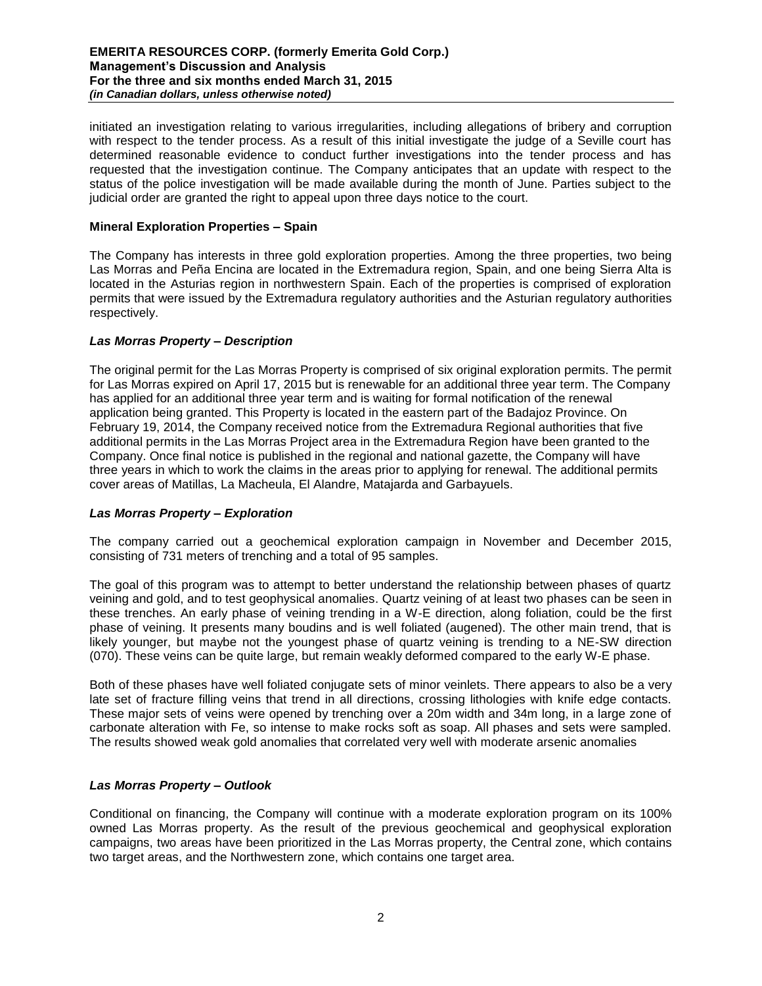### **EMERITA RESOURCES CORP. (formerly Emerita Gold Corp.) Management's Discussion and Analysis For the three and six months ended March 31, 2015** *(in Canadian dollars, unless otherwise noted)*

initiated an investigation relating to various irregularities, including allegations of bribery and corruption with respect to the tender process. As a result of this initial investigate the judge of a Seville court has determined reasonable evidence to conduct further investigations into the tender process and has requested that the investigation continue. The Company anticipates that an update with respect to the status of the police investigation will be made available during the month of June. Parties subject to the judicial order are granted the right to appeal upon three days notice to the court.

# **Mineral Exploration Properties – Spain**

The Company has interests in three gold exploration properties. Among the three properties, two being Las Morras and Peña Encina are located in the Extremadura region, Spain, and one being Sierra Alta is located in the Asturias region in northwestern Spain. Each of the properties is comprised of exploration permits that were issued by the Extremadura regulatory authorities and the Asturian regulatory authorities respectively.

# *Las Morras Property – Description*

The original permit for the Las Morras Property is comprised of six original exploration permits. The permit for Las Morras expired on April 17, 2015 but is renewable for an additional three year term. The Company has applied for an additional three year term and is waiting for formal notification of the renewal application being granted. This Property is located in the eastern part of the Badajoz Province. On February 19, 2014, the Company received notice from the Extremadura Regional authorities that five additional permits in the Las Morras Project area in the Extremadura Region have been granted to the Company. Once final notice is published in the regional and national gazette, the Company will have three years in which to work the claims in the areas prior to applying for renewal. The additional permits cover areas of Matillas, La Macheula, El Alandre, Matajarda and Garbayuels.

# *Las Morras Property – Exploration*

The company carried out a geochemical exploration campaign in November and December 2015, consisting of 731 meters of trenching and a total of 95 samples.

The goal of this program was to attempt to better understand the relationship between phases of quartz veining and gold, and to test geophysical anomalies. Quartz veining of at least two phases can be seen in these trenches. An early phase of veining trending in a W-E direction, along foliation, could be the first phase of veining. It presents many boudins and is well foliated (augened). The other main trend, that is likely younger, but maybe not the youngest phase of quartz veining is trending to a NE-SW direction (070). These veins can be quite large, but remain weakly deformed compared to the early W-E phase.

Both of these phases have well foliated conjugate sets of minor veinlets. There appears to also be a very late set of fracture filling veins that trend in all directions, crossing lithologies with knife edge contacts. These major sets of veins were opened by trenching over a 20m width and 34m long, in a large zone of carbonate alteration with Fe, so intense to make rocks soft as soap. All phases and sets were sampled. The results showed weak gold anomalies that correlated very well with moderate arsenic anomalies

# *Las Morras Property – Outlook*

Conditional on financing, the Company will continue with a moderate exploration program on its 100% owned Las Morras property. As the result of the previous geochemical and geophysical exploration campaigns, two areas have been prioritized in the Las Morras property, the Central zone, which contains two target areas, and the Northwestern zone, which contains one target area.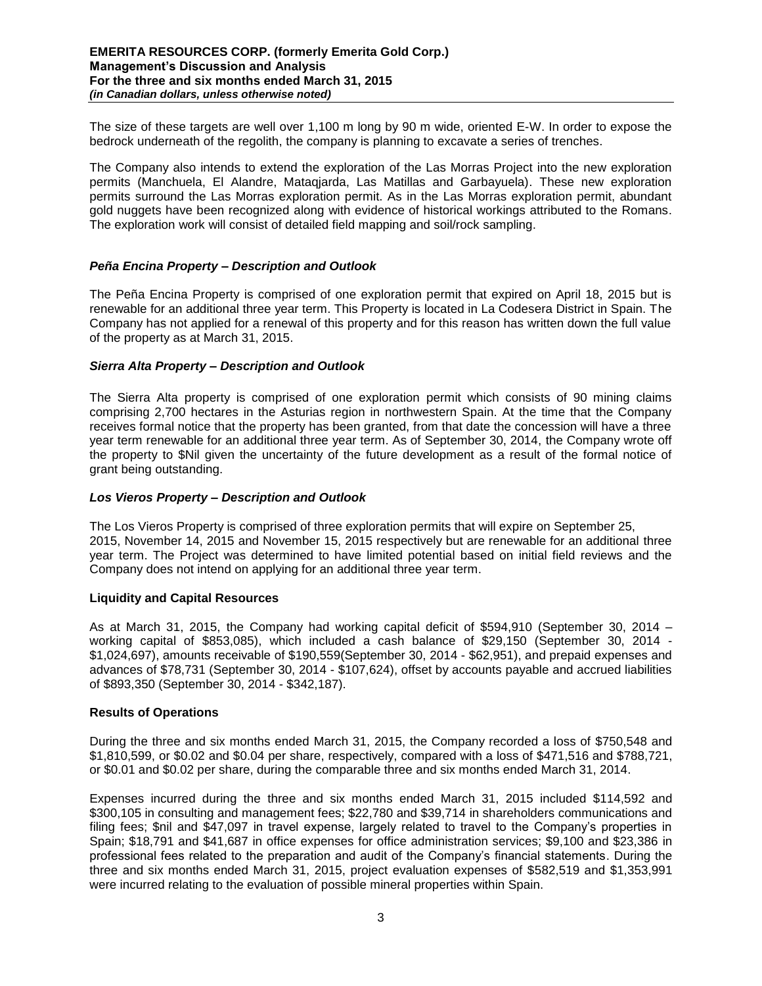The size of these targets are well over 1,100 m long by 90 m wide, oriented E-W. In order to expose the bedrock underneath of the regolith, the company is planning to excavate a series of trenches.

The Company also intends to extend the exploration of the Las Morras Project into the new exploration permits (Manchuela, El Alandre, Mataqjarda, Las Matillas and Garbayuela). These new exploration permits surround the Las Morras exploration permit. As in the Las Morras exploration permit, abundant gold nuggets have been recognized along with evidence of historical workings attributed to the Romans. The exploration work will consist of detailed field mapping and soil/rock sampling.

# *Peña Encina Property – Description and Outlook*

The Peña Encina Property is comprised of one exploration permit that expired on April 18, 2015 but is renewable for an additional three year term. This Property is located in La Codesera District in Spain. The Company has not applied for a renewal of this property and for this reason has written down the full value of the property as at March 31, 2015.

# *Sierra Alta Property – Description and Outlook*

The Sierra Alta property is comprised of one exploration permit which consists of 90 mining claims comprising 2,700 hectares in the Asturias region in northwestern Spain. At the time that the Company receives formal notice that the property has been granted, from that date the concession will have a three year term renewable for an additional three year term. As of September 30, 2014, the Company wrote off the property to \$Nil given the uncertainty of the future development as a result of the formal notice of grant being outstanding.

# *Los Vieros Property – Description and Outlook*

The Los Vieros Property is comprised of three exploration permits that will expire on September 25, 2015, November 14, 2015 and November 15, 2015 respectively but are renewable for an additional three year term. The Project was determined to have limited potential based on initial field reviews and the Company does not intend on applying for an additional three year term.

# **Liquidity and Capital Resources**

As at March 31, 2015, the Company had working capital deficit of \$594,910 (September 30, 2014 – working capital of \$853,085), which included a cash balance of \$29,150 (September 30, 2014 - \$1,024,697), amounts receivable of \$190,559(September 30, 2014 - \$62,951), and prepaid expenses and advances of \$78,731 (September 30, 2014 - \$107,624), offset by accounts payable and accrued liabilities of \$893,350 (September 30, 2014 - \$342,187).

# **Results of Operations**

During the three and six months ended March 31, 2015, the Company recorded a loss of \$750,548 and \$1,810,599, or \$0.02 and \$0.04 per share, respectively, compared with a loss of \$471,516 and \$788,721, or \$0.01 and \$0.02 per share, during the comparable three and six months ended March 31, 2014.

Expenses incurred during the three and six months ended March 31, 2015 included \$114,592 and \$300,105 in consulting and management fees; \$22,780 and \$39,714 in shareholders communications and filing fees; \$nil and \$47,097 in travel expense, largely related to travel to the Company's properties in Spain; \$18,791 and \$41,687 in office expenses for office administration services; \$9,100 and \$23,386 in professional fees related to the preparation and audit of the Company's financial statements. During the three and six months ended March 31, 2015, project evaluation expenses of \$582,519 and \$1,353,991 were incurred relating to the evaluation of possible mineral properties within Spain.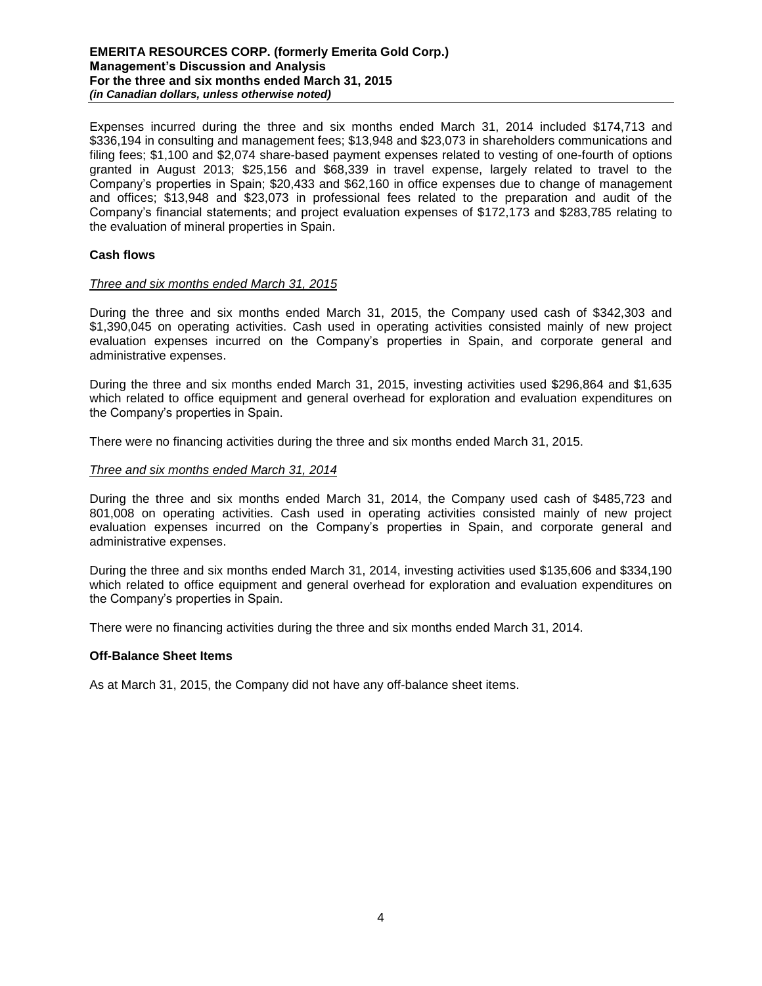### **EMERITA RESOURCES CORP. (formerly Emerita Gold Corp.) Management's Discussion and Analysis For the three and six months ended March 31, 2015** *(in Canadian dollars, unless otherwise noted)*

Expenses incurred during the three and six months ended March 31, 2014 included \$174,713 and \$336,194 in consulting and management fees; \$13,948 and \$23,073 in shareholders communications and filing fees; \$1,100 and \$2,074 share-based payment expenses related to vesting of one-fourth of options granted in August 2013; \$25,156 and \$68,339 in travel expense, largely related to travel to the Company's properties in Spain; \$20,433 and \$62,160 in office expenses due to change of management and offices; \$13,948 and \$23,073 in professional fees related to the preparation and audit of the Company's financial statements; and project evaluation expenses of \$172,173 and \$283,785 relating to the evaluation of mineral properties in Spain.

# **Cash flows**

# *Three and six months ended March 31, 2015*

During the three and six months ended March 31, 2015, the Company used cash of \$342,303 and \$1,390,045 on operating activities. Cash used in operating activities consisted mainly of new project evaluation expenses incurred on the Company's properties in Spain, and corporate general and administrative expenses.

During the three and six months ended March 31, 2015, investing activities used \$296,864 and \$1,635 which related to office equipment and general overhead for exploration and evaluation expenditures on the Company's properties in Spain.

There were no financing activities during the three and six months ended March 31, 2015.

#### *Three and six months ended March 31, 2014*

During the three and six months ended March 31, 2014, the Company used cash of \$485,723 and 801,008 on operating activities. Cash used in operating activities consisted mainly of new project evaluation expenses incurred on the Company's properties in Spain, and corporate general and administrative expenses.

During the three and six months ended March 31, 2014, investing activities used \$135,606 and \$334,190 which related to office equipment and general overhead for exploration and evaluation expenditures on the Company's properties in Spain.

There were no financing activities during the three and six months ended March 31, 2014.

#### **Off-Balance Sheet Items**

As at March 31, 2015, the Company did not have any off-balance sheet items.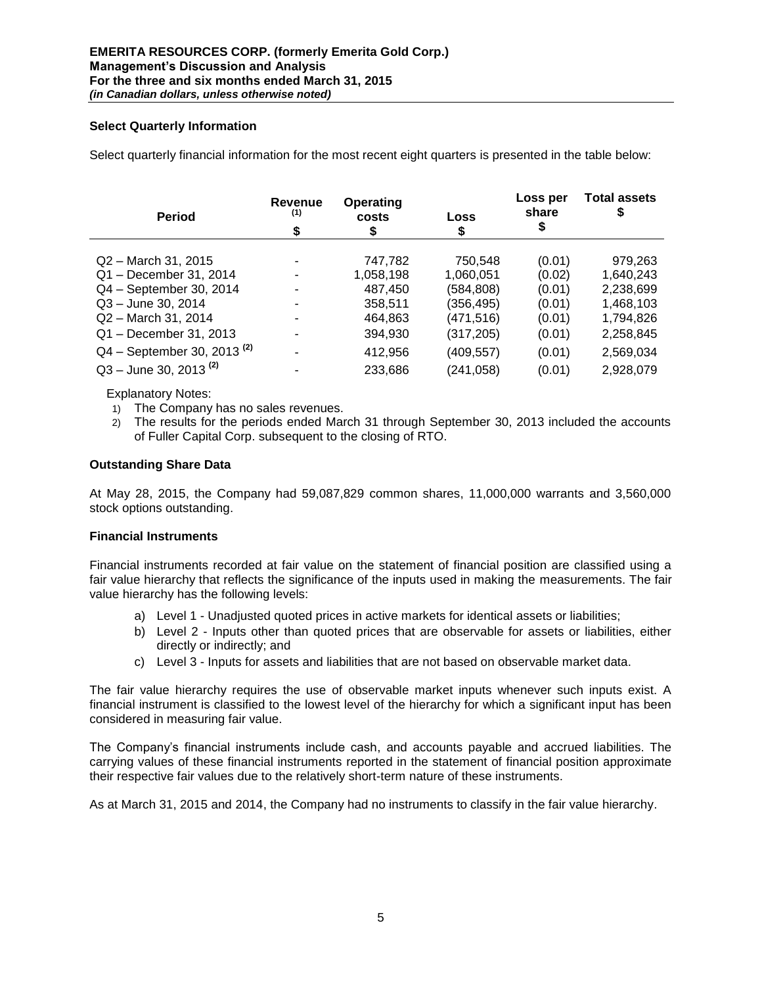# **Select Quarterly Information**

Select quarterly financial information for the most recent eight quarters is presented in the table below:

| <b>Period</b>                   | Revenue<br>(1)<br>\$ | Operating<br>costs<br>Loss<br>\$<br>\$ |            | Loss per<br>share<br>\$ | <b>Total assets</b> |  |
|---------------------------------|----------------------|----------------------------------------|------------|-------------------------|---------------------|--|
| Q2 - March 31, 2015             |                      | 747,782                                | 750,548    | (0.01)                  | 979,263             |  |
| Q1 - December 31, 2014          |                      | 1,058,198                              | 1,060,051  | (0.02)                  | 1,640,243           |  |
| Q4 - September 30, 2014         |                      | 487,450                                | (584,808)  | (0.01)                  | 2,238,699           |  |
| Q3 - June 30, 2014              |                      | 358,511                                | (356,495)  | (0.01)                  | 1,468,103           |  |
| Q2 - March 31, 2014             |                      | 464,863                                | (471,516)  | (0.01)                  | 1,794,826           |  |
| Q1 - December 31, 2013          |                      | 394,930                                | (317, 205) | (0.01)                  | 2,258,845           |  |
| $Q4 - September 30, 2013^{(2)}$ |                      | 412,956                                | (409, 557) | (0.01)                  | 2,569,034           |  |
| $Q3 -$ June 30, 2013 $(2)$      |                      | 233,686                                | (241, 058) | (0.01)                  | 2,928,079           |  |

Explanatory Notes:

- 1) The Company has no sales revenues.
- 2) The results for the periods ended March 31 through September 30, 2013 included the accounts of Fuller Capital Corp. subsequent to the closing of RTO.

#### **Outstanding Share Data**

At May 28, 2015, the Company had 59,087,829 common shares, 11,000,000 warrants and 3,560,000 stock options outstanding.

#### **Financial Instruments**

Financial instruments recorded at fair value on the statement of financial position are classified using a fair value hierarchy that reflects the significance of the inputs used in making the measurements. The fair value hierarchy has the following levels:

- a) Level 1 Unadjusted quoted prices in active markets for identical assets or liabilities;
- b) Level 2 Inputs other than quoted prices that are observable for assets or liabilities, either directly or indirectly; and
- c) Level 3 Inputs for assets and liabilities that are not based on observable market data.

The fair value hierarchy requires the use of observable market inputs whenever such inputs exist. A financial instrument is classified to the lowest level of the hierarchy for which a significant input has been considered in measuring fair value.

The Company's financial instruments include cash, and accounts payable and accrued liabilities. The carrying values of these financial instruments reported in the statement of financial position approximate their respective fair values due to the relatively short-term nature of these instruments.

As at March 31, 2015 and 2014, the Company had no instruments to classify in the fair value hierarchy.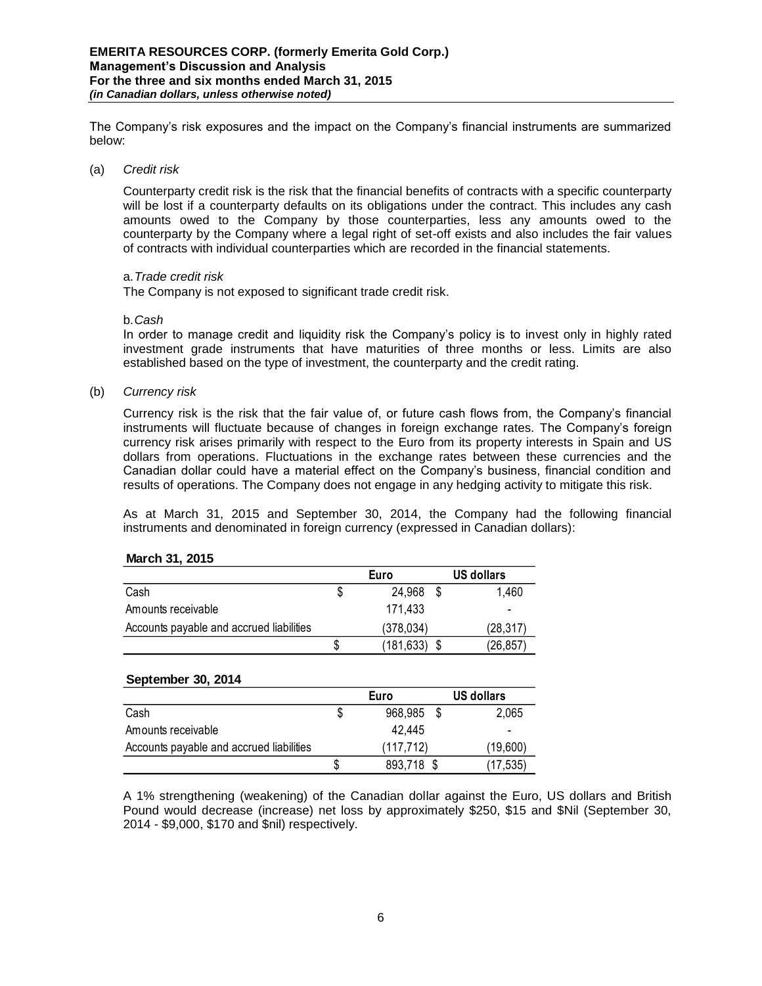The Company's risk exposures and the impact on the Company's financial instruments are summarized below:

#### (a) *Credit risk*

Counterparty credit risk is the risk that the financial benefits of contracts with a specific counterparty will be lost if a counterparty defaults on its obligations under the contract. This includes any cash amounts owed to the Company by those counterparties, less any amounts owed to the counterparty by the Company where a legal right of set-off exists and also includes the fair values of contracts with individual counterparties which are recorded in the financial statements.

### a.*Trade credit risk*

The Company is not exposed to significant trade credit risk.

#### b.*Cash*

In order to manage credit and liquidity risk the Company's policy is to invest only in highly rated investment grade instruments that have maturities of three months or less. Limits are also established based on the type of investment, the counterparty and the credit rating.

(b) *Currency risk* 

Currency risk is the risk that the fair value of, or future cash flows from, the Company's financial instruments will fluctuate because of changes in foreign exchange rates. The Company's foreign currency risk arises primarily with respect to the Euro from its property interests in Spain and US dollars from operations. Fluctuations in the exchange rates between these currencies and the Canadian dollar could have a material effect on the Company's business, financial condition and results of operations. The Company does not engage in any hedging activity to mitigate this risk.

As at March 31, 2015 and September 30, 2014, the Company had the following financial instruments and denominated in foreign currency (expressed in Canadian dollars):

#### **March 31, 2015**

|                                          | <b>Euro</b> |            |  | US dollars |  |  |
|------------------------------------------|-------------|------------|--|------------|--|--|
| Cash                                     |             | 24.968     |  | 1.460      |  |  |
| Amounts receivable                       |             | 171.433    |  | -          |  |  |
| Accounts payable and accrued liabilities |             | (378.034)  |  | (28.317)   |  |  |
|                                          | S           | (181, 633) |  | (26, 857)  |  |  |

#### **September 30, 2014**

|                                          | Euro      |            |  | US dollars |  |  |
|------------------------------------------|-----------|------------|--|------------|--|--|
| Cash                                     |           | 968,985    |  | 2,065      |  |  |
| Amounts receivable                       |           | 42.445     |  |            |  |  |
| Accounts payable and accrued liabilities | (117.712) |            |  | (19,600)   |  |  |
|                                          | S         | 893,718 \$ |  | (17,535)   |  |  |

A 1% strengthening (weakening) of the Canadian dollar against the Euro, US dollars and British Pound would decrease (increase) net loss by approximately \$250, \$15 and \$Nil (September 30, 2014 - \$9,000, \$170 and \$nil) respectively.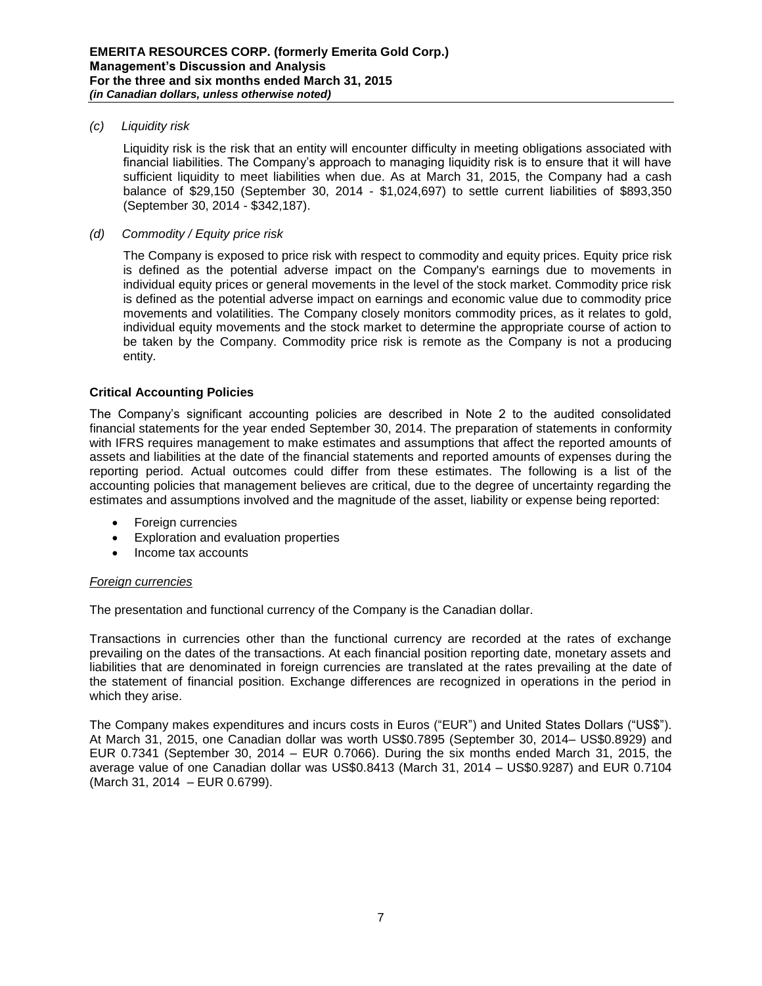### *(c) Liquidity risk*

Liquidity risk is the risk that an entity will encounter difficulty in meeting obligations associated with financial liabilities. The Company's approach to managing liquidity risk is to ensure that it will have sufficient liquidity to meet liabilities when due. As at March 31, 2015, the Company had a cash balance of \$29,150 (September 30, 2014 - \$1,024,697) to settle current liabilities of \$893,350 (September 30, 2014 - \$342,187).

# *(d) Commodity / Equity price risk*

The Company is exposed to price risk with respect to commodity and equity prices. Equity price risk is defined as the potential adverse impact on the Company's earnings due to movements in individual equity prices or general movements in the level of the stock market. Commodity price risk is defined as the potential adverse impact on earnings and economic value due to commodity price movements and volatilities. The Company closely monitors commodity prices, as it relates to gold, individual equity movements and the stock market to determine the appropriate course of action to be taken by the Company. Commodity price risk is remote as the Company is not a producing entity.

#### **Critical Accounting Policies**

The Company's significant accounting policies are described in Note 2 to the audited consolidated financial statements for the year ended September 30, 2014. The preparation of statements in conformity with IFRS requires management to make estimates and assumptions that affect the reported amounts of assets and liabilities at the date of the financial statements and reported amounts of expenses during the reporting period. Actual outcomes could differ from these estimates. The following is a list of the accounting policies that management believes are critical, due to the degree of uncertainty regarding the estimates and assumptions involved and the magnitude of the asset, liability or expense being reported:

- Foreign currencies
- Exploration and evaluation properties
- Income tax accounts

# *Foreign currencies*

The presentation and functional currency of the Company is the Canadian dollar.

Transactions in currencies other than the functional currency are recorded at the rates of exchange prevailing on the dates of the transactions. At each financial position reporting date, monetary assets and liabilities that are denominated in foreign currencies are translated at the rates prevailing at the date of the statement of financial position. Exchange differences are recognized in operations in the period in which they arise.

The Company makes expenditures and incurs costs in Euros ("EUR") and United States Dollars ("US\$"). At March 31, 2015, one Canadian dollar was worth US\$0.7895 (September 30, 2014– US\$0.8929) and EUR 0.7341 (September 30, 2014 – EUR 0.7066). During the six months ended March 31, 2015, the average value of one Canadian dollar was US\$0.8413 (March 31, 2014 – US\$0.9287) and EUR 0.7104 (March 31, 2014 – EUR 0.6799).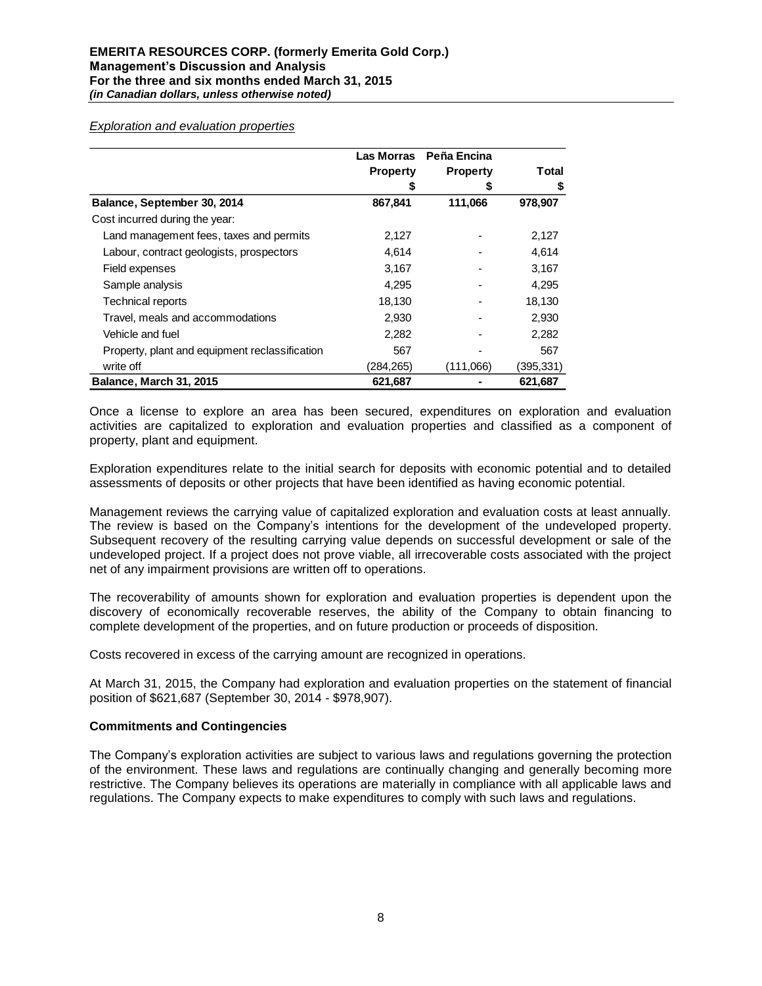|                                                | Las Morras                         | Peña Encina |           |
|------------------------------------------------|------------------------------------|-------------|-----------|
|                                                | <b>Property</b><br><b>Property</b> |             | Total     |
|                                                | \$                                 | \$          | \$        |
| Balance, September 30, 2014                    | 867,841                            | 111,066     | 978,907   |
| Cost incurred during the year:                 |                                    |             |           |
| Land management fees, taxes and permits        | 2,127                              |             | 2,127     |
| Labour, contract geologists, prospectors       | 4,614                              |             | 4,614     |
| Field expenses                                 | 3,167                              |             | 3,167     |
| Sample analysis                                | 4,295                              |             | 4,295     |
| <b>Technical reports</b>                       | 18,130                             |             | 18,130    |
| Travel, meals and accommodations               | 2,930                              |             | 2,930     |
| Vehicle and fuel                               | 2,282                              |             | 2,282     |
| Property, plant and equipment reclassification | 567                                |             | 567       |
| write off                                      | (284,265)                          | (111,066)   | (395,331) |
| Balance, March 31, 2015                        | 621,687                            |             | 621,687   |

Once a license to explore an area has been secured, expenditures on exploration and evaluation activities are capitalized to exploration and evaluation properties and classified as a component of property, plant and equipment.

Exploration expenditures relate to the initial search for deposits with economic potential and to detailed assessments of deposits or other projects that have been identified as having economic potential.

Management reviews the carrying value of capitalized exploration and evaluation costs at least annually. The review is based on the Company's intentions for the development of the undeveloped property. Subsequent recovery of the resulting carrying value depends on successful development or sale of the undeveloped project. If a project does not prove viable, all irrecoverable costs associated with the project net of any impairment provisions are written off to operations.

The recoverability of amounts shown for exploration and evaluation properties is dependent upon the discovery of economically recoverable reserves, the ability of the Company to obtain financing to complete development of the properties, and on future production or proceeds of disposition.

Costs recovered in excess of the carrying amount are recognized in operations.

At March 31, 2015, the Company had exploration and evaluation properties on the statement of financial position of \$621,687 (September 30, 2014 - \$978,907).

#### **Commitments and Contingencies**

The Company's exploration activities are subject to various laws and regulations governing the protection of the environment. These laws and regulations are continually changing and generally becoming more restrictive. The Company believes its operations are materially in compliance with all applicable laws and regulations. The Company expects to make expenditures to comply with such laws and regulations.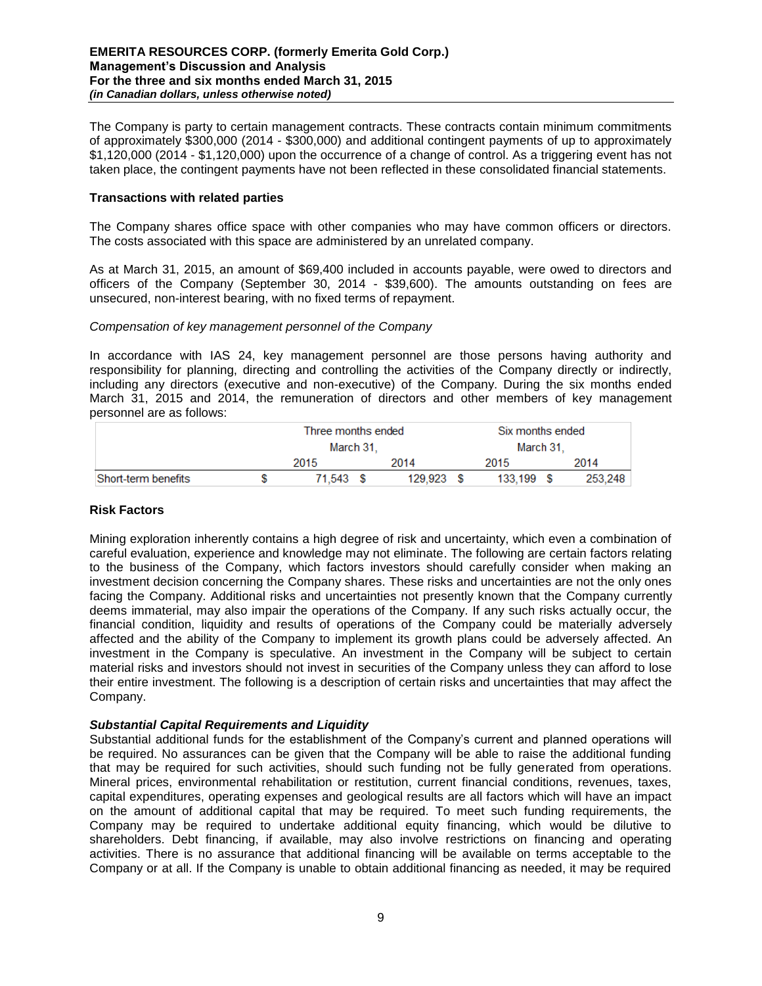The Company is party to certain management contracts. These contracts contain minimum commitments of approximately \$300,000 (2014 - \$300,000) and additional contingent payments of up to approximately \$1,120,000 (2014 - \$1,120,000) upon the occurrence of a change of control. As a triggering event has not taken place, the contingent payments have not been reflected in these consolidated financial statements.

# **Transactions with related parties**

The Company shares office space with other companies who may have common officers or directors. The costs associated with this space are administered by an unrelated company.

As at March 31, 2015, an amount of \$69,400 included in accounts payable, were owed to directors and officers of the Company (September 30, 2014 - \$39,600). The amounts outstanding on fees are unsecured, non-interest bearing, with no fixed terms of repayment.

#### *Compensation of key management personnel of the Company*

In accordance with IAS 24, key management personnel are those persons having authority and responsibility for planning, directing and controlling the activities of the Company directly or indirectly, including any directors (executive and non-executive) of the Company. During the six months ended March 31, 2015 and 2014, the remuneration of directors and other members of key management personnel are as follows:

|                     | Three months ended |  |              |           | Six months ended |  |         |  |  |
|---------------------|--------------------|--|--------------|-----------|------------------|--|---------|--|--|
|                     | March 31.          |  |              | March 31. |                  |  |         |  |  |
|                     | 2015               |  | 2014         |           | 2015             |  | 2014    |  |  |
| Short-term benefits | 71.543 \$          |  | $129.923$ \$ |           | $133.199$ \$     |  | 253.248 |  |  |

# **Risk Factors**

Mining exploration inherently contains a high degree of risk and uncertainty, which even a combination of careful evaluation, experience and knowledge may not eliminate. The following are certain factors relating to the business of the Company, which factors investors should carefully consider when making an investment decision concerning the Company shares. These risks and uncertainties are not the only ones facing the Company. Additional risks and uncertainties not presently known that the Company currently deems immaterial, may also impair the operations of the Company. If any such risks actually occur, the financial condition, liquidity and results of operations of the Company could be materially adversely affected and the ability of the Company to implement its growth plans could be adversely affected. An investment in the Company is speculative. An investment in the Company will be subject to certain material risks and investors should not invest in securities of the Company unless they can afford to lose their entire investment. The following is a description of certain risks and uncertainties that may affect the Company.

# *Substantial Capital Requirements and Liquidity*

Substantial additional funds for the establishment of the Company's current and planned operations will be required. No assurances can be given that the Company will be able to raise the additional funding that may be required for such activities, should such funding not be fully generated from operations. Mineral prices, environmental rehabilitation or restitution, current financial conditions, revenues, taxes, capital expenditures, operating expenses and geological results are all factors which will have an impact on the amount of additional capital that may be required. To meet such funding requirements, the Company may be required to undertake additional equity financing, which would be dilutive to shareholders. Debt financing, if available, may also involve restrictions on financing and operating activities. There is no assurance that additional financing will be available on terms acceptable to the Company or at all. If the Company is unable to obtain additional financing as needed, it may be required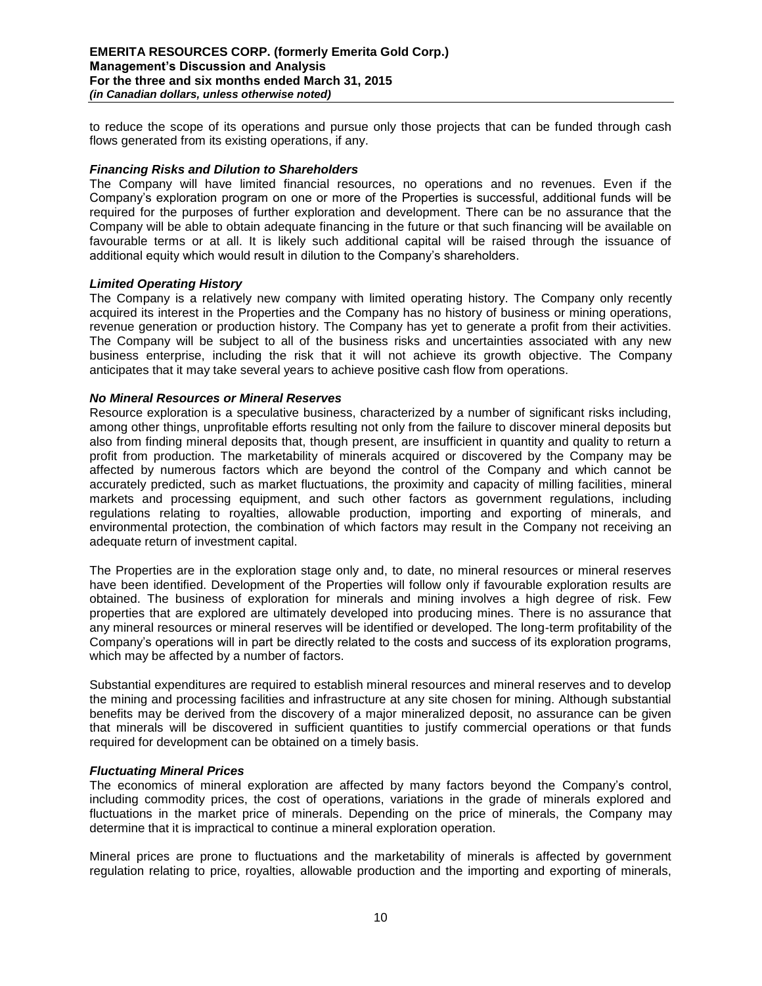to reduce the scope of its operations and pursue only those projects that can be funded through cash flows generated from its existing operations, if any.

### *Financing Risks and Dilution to Shareholders*

The Company will have limited financial resources, no operations and no revenues. Even if the Company's exploration program on one or more of the Properties is successful, additional funds will be required for the purposes of further exploration and development. There can be no assurance that the Company will be able to obtain adequate financing in the future or that such financing will be available on favourable terms or at all. It is likely such additional capital will be raised through the issuance of additional equity which would result in dilution to the Company's shareholders.

#### *Limited Operating History*

The Company is a relatively new company with limited operating history. The Company only recently acquired its interest in the Properties and the Company has no history of business or mining operations, revenue generation or production history. The Company has yet to generate a profit from their activities. The Company will be subject to all of the business risks and uncertainties associated with any new business enterprise, including the risk that it will not achieve its growth objective. The Company anticipates that it may take several years to achieve positive cash flow from operations.

#### *No Mineral Resources or Mineral Reserves*

Resource exploration is a speculative business, characterized by a number of significant risks including, among other things, unprofitable efforts resulting not only from the failure to discover mineral deposits but also from finding mineral deposits that, though present, are insufficient in quantity and quality to return a profit from production. The marketability of minerals acquired or discovered by the Company may be affected by numerous factors which are beyond the control of the Company and which cannot be accurately predicted, such as market fluctuations, the proximity and capacity of milling facilities, mineral markets and processing equipment, and such other factors as government regulations, including regulations relating to royalties, allowable production, importing and exporting of minerals, and environmental protection, the combination of which factors may result in the Company not receiving an adequate return of investment capital.

The Properties are in the exploration stage only and, to date, no mineral resources or mineral reserves have been identified. Development of the Properties will follow only if favourable exploration results are obtained. The business of exploration for minerals and mining involves a high degree of risk. Few properties that are explored are ultimately developed into producing mines. There is no assurance that any mineral resources or mineral reserves will be identified or developed. The long-term profitability of the Company's operations will in part be directly related to the costs and success of its exploration programs, which may be affected by a number of factors.

Substantial expenditures are required to establish mineral resources and mineral reserves and to develop the mining and processing facilities and infrastructure at any site chosen for mining. Although substantial benefits may be derived from the discovery of a major mineralized deposit, no assurance can be given that minerals will be discovered in sufficient quantities to justify commercial operations or that funds required for development can be obtained on a timely basis.

#### *Fluctuating Mineral Prices*

The economics of mineral exploration are affected by many factors beyond the Company's control, including commodity prices, the cost of operations, variations in the grade of minerals explored and fluctuations in the market price of minerals. Depending on the price of minerals, the Company may determine that it is impractical to continue a mineral exploration operation.

Mineral prices are prone to fluctuations and the marketability of minerals is affected by government regulation relating to price, royalties, allowable production and the importing and exporting of minerals,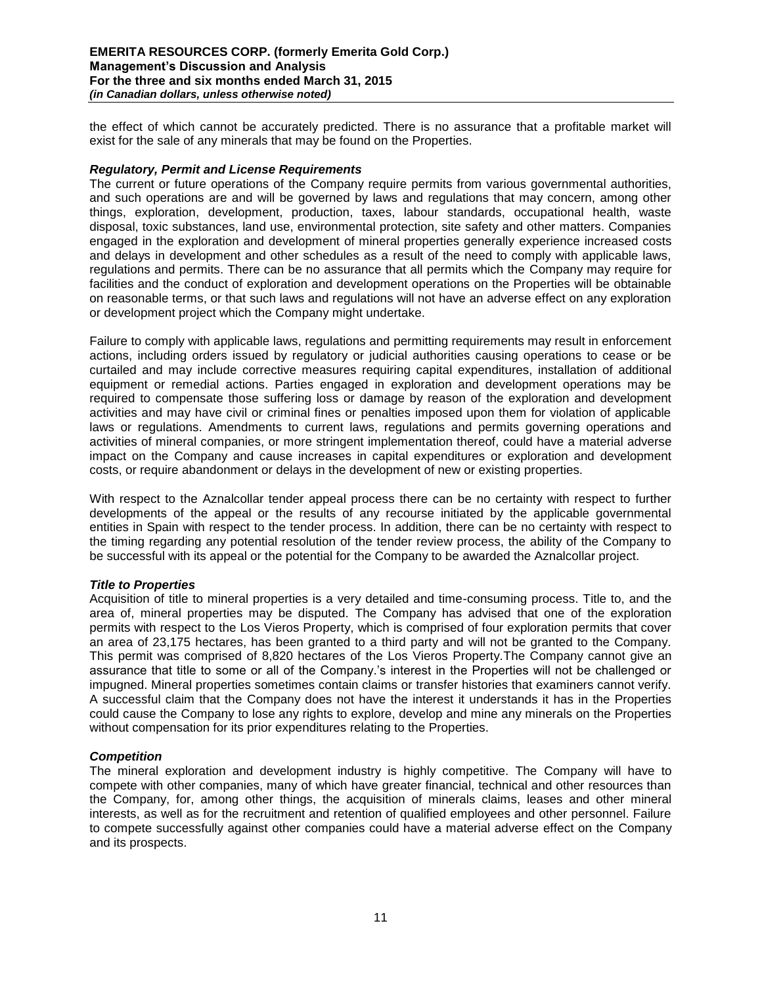the effect of which cannot be accurately predicted. There is no assurance that a profitable market will exist for the sale of any minerals that may be found on the Properties.

### *Regulatory, Permit and License Requirements*

The current or future operations of the Company require permits from various governmental authorities, and such operations are and will be governed by laws and regulations that may concern, among other things, exploration, development, production, taxes, labour standards, occupational health, waste disposal, toxic substances, land use, environmental protection, site safety and other matters. Companies engaged in the exploration and development of mineral properties generally experience increased costs and delays in development and other schedules as a result of the need to comply with applicable laws, regulations and permits. There can be no assurance that all permits which the Company may require for facilities and the conduct of exploration and development operations on the Properties will be obtainable on reasonable terms, or that such laws and regulations will not have an adverse effect on any exploration or development project which the Company might undertake.

Failure to comply with applicable laws, regulations and permitting requirements may result in enforcement actions, including orders issued by regulatory or judicial authorities causing operations to cease or be curtailed and may include corrective measures requiring capital expenditures, installation of additional equipment or remedial actions. Parties engaged in exploration and development operations may be required to compensate those suffering loss or damage by reason of the exploration and development activities and may have civil or criminal fines or penalties imposed upon them for violation of applicable laws or regulations. Amendments to current laws, regulations and permits governing operations and activities of mineral companies, or more stringent implementation thereof, could have a material adverse impact on the Company and cause increases in capital expenditures or exploration and development costs, or require abandonment or delays in the development of new or existing properties.

With respect to the Aznalcollar tender appeal process there can be no certainty with respect to further developments of the appeal or the results of any recourse initiated by the applicable governmental entities in Spain with respect to the tender process. In addition, there can be no certainty with respect to the timing regarding any potential resolution of the tender review process, the ability of the Company to be successful with its appeal or the potential for the Company to be awarded the Aznalcollar project.

# *Title to Properties*

Acquisition of title to mineral properties is a very detailed and time-consuming process. Title to, and the area of, mineral properties may be disputed. The Company has advised that one of the exploration permits with respect to the Los Vieros Property, which is comprised of four exploration permits that cover an area of 23,175 hectares, has been granted to a third party and will not be granted to the Company. This permit was comprised of 8,820 hectares of the Los Vieros Property.The Company cannot give an assurance that title to some or all of the Company.'s interest in the Properties will not be challenged or impugned. Mineral properties sometimes contain claims or transfer histories that examiners cannot verify. A successful claim that the Company does not have the interest it understands it has in the Properties could cause the Company to lose any rights to explore, develop and mine any minerals on the Properties without compensation for its prior expenditures relating to the Properties.

#### *Competition*

The mineral exploration and development industry is highly competitive. The Company will have to compete with other companies, many of which have greater financial, technical and other resources than the Company, for, among other things, the acquisition of minerals claims, leases and other mineral interests, as well as for the recruitment and retention of qualified employees and other personnel. Failure to compete successfully against other companies could have a material adverse effect on the Company and its prospects.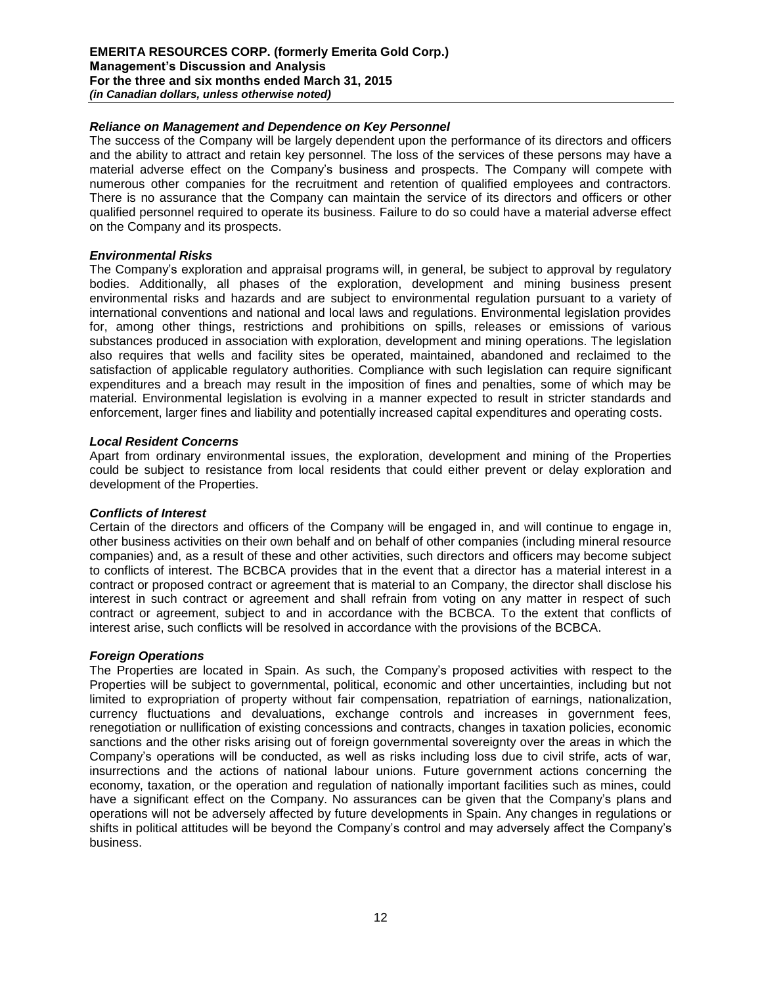### *Reliance on Management and Dependence on Key Personnel*

The success of the Company will be largely dependent upon the performance of its directors and officers and the ability to attract and retain key personnel. The loss of the services of these persons may have a material adverse effect on the Company's business and prospects. The Company will compete with numerous other companies for the recruitment and retention of qualified employees and contractors. There is no assurance that the Company can maintain the service of its directors and officers or other qualified personnel required to operate its business. Failure to do so could have a material adverse effect on the Company and its prospects.

#### *Environmental Risks*

The Company's exploration and appraisal programs will, in general, be subject to approval by regulatory bodies. Additionally, all phases of the exploration, development and mining business present environmental risks and hazards and are subject to environmental regulation pursuant to a variety of international conventions and national and local laws and regulations. Environmental legislation provides for, among other things, restrictions and prohibitions on spills, releases or emissions of various substances produced in association with exploration, development and mining operations. The legislation also requires that wells and facility sites be operated, maintained, abandoned and reclaimed to the satisfaction of applicable regulatory authorities. Compliance with such legislation can require significant expenditures and a breach may result in the imposition of fines and penalties, some of which may be material. Environmental legislation is evolving in a manner expected to result in stricter standards and enforcement, larger fines and liability and potentially increased capital expenditures and operating costs.

#### *Local Resident Concerns*

Apart from ordinary environmental issues, the exploration, development and mining of the Properties could be subject to resistance from local residents that could either prevent or delay exploration and development of the Properties.

# *Conflicts of Interest*

Certain of the directors and officers of the Company will be engaged in, and will continue to engage in, other business activities on their own behalf and on behalf of other companies (including mineral resource companies) and, as a result of these and other activities, such directors and officers may become subject to conflicts of interest. The BCBCA provides that in the event that a director has a material interest in a contract or proposed contract or agreement that is material to an Company, the director shall disclose his interest in such contract or agreement and shall refrain from voting on any matter in respect of such contract or agreement, subject to and in accordance with the BCBCA. To the extent that conflicts of interest arise, such conflicts will be resolved in accordance with the provisions of the BCBCA.

#### *Foreign Operations*

The Properties are located in Spain. As such, the Company's proposed activities with respect to the Properties will be subject to governmental, political, economic and other uncertainties, including but not limited to expropriation of property without fair compensation, repatriation of earnings, nationalization, currency fluctuations and devaluations, exchange controls and increases in government fees, renegotiation or nullification of existing concessions and contracts, changes in taxation policies, economic sanctions and the other risks arising out of foreign governmental sovereignty over the areas in which the Company's operations will be conducted, as well as risks including loss due to civil strife, acts of war, insurrections and the actions of national labour unions. Future government actions concerning the economy, taxation, or the operation and regulation of nationally important facilities such as mines, could have a significant effect on the Company. No assurances can be given that the Company's plans and operations will not be adversely affected by future developments in Spain. Any changes in regulations or shifts in political attitudes will be beyond the Company's control and may adversely affect the Company's business.